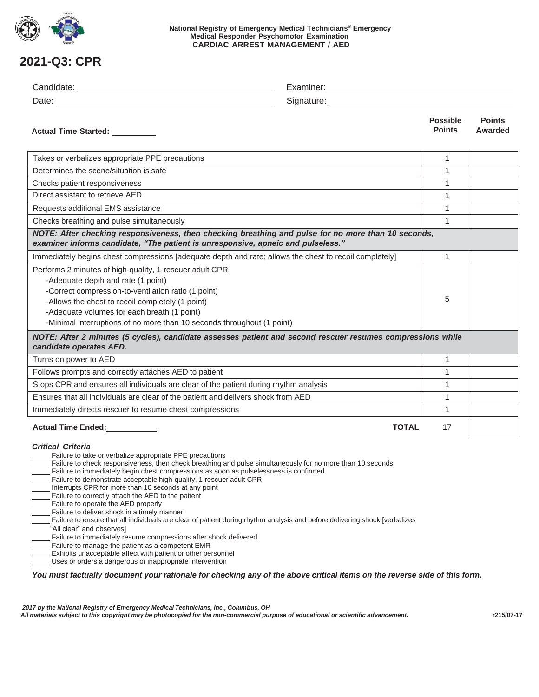

**National Registry of Emergency Medical Technicians® Emergency Medical Responder Psychomotor Examination CARDIAC ARREST MANAGEMENT / AED**

## **2021-Q3: CPR**

|                                                                                                                                                                                                                                                                                                                                                                                                                                                                                                                                                                                                                                                                                                                                                                                                                                                                                                                                                                                       | Signature: <u>with the set of the set of the set of the set of the set of the set of the set of the set of the set of the set of the set of the set of the set of the set of the set of the set of the set of the set of the set</u> |                                  |                          |
|---------------------------------------------------------------------------------------------------------------------------------------------------------------------------------------------------------------------------------------------------------------------------------------------------------------------------------------------------------------------------------------------------------------------------------------------------------------------------------------------------------------------------------------------------------------------------------------------------------------------------------------------------------------------------------------------------------------------------------------------------------------------------------------------------------------------------------------------------------------------------------------------------------------------------------------------------------------------------------------|--------------------------------------------------------------------------------------------------------------------------------------------------------------------------------------------------------------------------------------|----------------------------------|--------------------------|
| Actual Time Started: _________                                                                                                                                                                                                                                                                                                                                                                                                                                                                                                                                                                                                                                                                                                                                                                                                                                                                                                                                                        |                                                                                                                                                                                                                                      | <b>Possible</b><br><b>Points</b> | <b>Points</b><br>Awarded |
| Takes or verbalizes appropriate PPE precautions                                                                                                                                                                                                                                                                                                                                                                                                                                                                                                                                                                                                                                                                                                                                                                                                                                                                                                                                       |                                                                                                                                                                                                                                      | $\mathbf{1}$                     |                          |
| Determines the scene/situation is safe                                                                                                                                                                                                                                                                                                                                                                                                                                                                                                                                                                                                                                                                                                                                                                                                                                                                                                                                                |                                                                                                                                                                                                                                      | 1                                |                          |
| Checks patient responsiveness                                                                                                                                                                                                                                                                                                                                                                                                                                                                                                                                                                                                                                                                                                                                                                                                                                                                                                                                                         |                                                                                                                                                                                                                                      | 1                                |                          |
| Direct assistant to retrieve AED                                                                                                                                                                                                                                                                                                                                                                                                                                                                                                                                                                                                                                                                                                                                                                                                                                                                                                                                                      |                                                                                                                                                                                                                                      | $\mathbf{1}$                     |                          |
| Requests additional EMS assistance                                                                                                                                                                                                                                                                                                                                                                                                                                                                                                                                                                                                                                                                                                                                                                                                                                                                                                                                                    |                                                                                                                                                                                                                                      | $\mathbf{1}$                     |                          |
| Checks breathing and pulse simultaneously                                                                                                                                                                                                                                                                                                                                                                                                                                                                                                                                                                                                                                                                                                                                                                                                                                                                                                                                             |                                                                                                                                                                                                                                      | $\mathbf{1}$                     |                          |
| NOTE: After checking responsiveness, then checking breathing and pulse for no more than 10 seconds,<br>examiner informs candidate, "The patient is unresponsive, apneic and pulseless."                                                                                                                                                                                                                                                                                                                                                                                                                                                                                                                                                                                                                                                                                                                                                                                               |                                                                                                                                                                                                                                      |                                  |                          |
| Immediately begins chest compressions [adequate depth and rate; allows the chest to recoil completely]                                                                                                                                                                                                                                                                                                                                                                                                                                                                                                                                                                                                                                                                                                                                                                                                                                                                                |                                                                                                                                                                                                                                      | $\mathbf{1}$                     |                          |
| Performs 2 minutes of high-quality, 1-rescuer adult CPR<br>-Adequate depth and rate (1 point)<br>-Correct compression-to-ventilation ratio (1 point)<br>-Allows the chest to recoil completely (1 point)<br>-Adequate volumes for each breath (1 point)<br>-Minimal interruptions of no more than 10 seconds throughout (1 point)                                                                                                                                                                                                                                                                                                                                                                                                                                                                                                                                                                                                                                                     |                                                                                                                                                                                                                                      | 5                                |                          |
| NOTE: After 2 minutes (5 cycles), candidate assesses patient and second rescuer resumes compressions while<br>candidate operates AED.                                                                                                                                                                                                                                                                                                                                                                                                                                                                                                                                                                                                                                                                                                                                                                                                                                                 |                                                                                                                                                                                                                                      |                                  |                          |
| Turns on power to AED                                                                                                                                                                                                                                                                                                                                                                                                                                                                                                                                                                                                                                                                                                                                                                                                                                                                                                                                                                 |                                                                                                                                                                                                                                      | 1                                |                          |
| Follows prompts and correctly attaches AED to patient                                                                                                                                                                                                                                                                                                                                                                                                                                                                                                                                                                                                                                                                                                                                                                                                                                                                                                                                 |                                                                                                                                                                                                                                      | $\mathbf{1}$                     |                          |
|                                                                                                                                                                                                                                                                                                                                                                                                                                                                                                                                                                                                                                                                                                                                                                                                                                                                                                                                                                                       | Stops CPR and ensures all individuals are clear of the patient during rhythm analysis                                                                                                                                                |                                  |                          |
| Ensures that all individuals are clear of the patient and delivers shock from AED                                                                                                                                                                                                                                                                                                                                                                                                                                                                                                                                                                                                                                                                                                                                                                                                                                                                                                     |                                                                                                                                                                                                                                      | 1                                |                          |
| Immediately directs rescuer to resume chest compressions                                                                                                                                                                                                                                                                                                                                                                                                                                                                                                                                                                                                                                                                                                                                                                                                                                                                                                                              |                                                                                                                                                                                                                                      | $\mathbf{1}$                     |                          |
| Actual Time Ended: National Property                                                                                                                                                                                                                                                                                                                                                                                                                                                                                                                                                                                                                                                                                                                                                                                                                                                                                                                                                  | <b>TOTAL</b>                                                                                                                                                                                                                         | 17                               |                          |
| <b>Critical Criteria</b><br>Failure to take or verbalize appropriate PPE precautions<br>Failure to check responsiveness, then check breathing and pulse simultaneously for no more than 10 seconds<br>Failure to immediately begin chest compressions as soon as pulselessness is confirmed<br>Failure to demonstrate acceptable high-quality, 1-rescuer adult CPR<br>Interrupts CPR for more than 10 seconds at any point<br>Failure to correctly attach the AED to the patient<br>Failure to operate the AED properly<br>Failure to deliver shock in a timely manner<br>Failure to ensure that all individuals are clear of patient during rhythm analysis and before delivering shock [verbalizes<br>"All clear" and observes]<br>Failure to immediately resume compressions after shock delivered<br>Failure to manage the patient as a competent EMR<br>Exhibits unacceptable affect with patient or other personnel<br>Uses or orders a dangerous or inappropriate intervention |                                                                                                                                                                                                                                      |                                  |                          |

You must factually document your rationale for checking any of the above critical items on the reverse side of this form.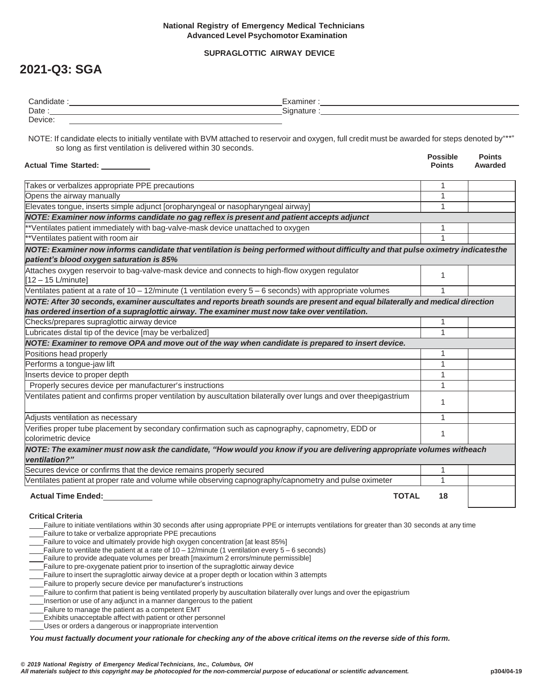## **National Registry of Emergency Medical Technicians Advanced Level Psychomotor Examination**

## **SUPRAGLOTTIC AIRWAY DEVICE**

## **2021-Q3: SGA**

| Candidate . | aminer           |  |
|-------------|------------------|--|
| Date        | <b>Signature</b> |  |
| Device:     |                  |  |

NOTE: If candidate elects to initially ventilate with BVM attached to reservoir and oxygen, full credit must be awarded for steps denoted by"\*\*" so long as first ventilation is delivered within 30 seconds.

| Actual Time Started: _____                                                                                                                                                                                                     | <b>Possible</b><br><b>Points</b> | <b>Points</b><br>Awarded |
|--------------------------------------------------------------------------------------------------------------------------------------------------------------------------------------------------------------------------------|----------------------------------|--------------------------|
| Takes or verbalizes appropriate PPE precautions                                                                                                                                                                                | 1                                |                          |
| Opens the airway manually                                                                                                                                                                                                      | 1                                |                          |
| Elevates tongue, inserts simple adjunct [oropharyngeal or nasopharyngeal airway]                                                                                                                                               | 1                                |                          |
| NOTE: Examiner now informs candidate no gag reflex is present and patient accepts adjunct                                                                                                                                      |                                  |                          |
| **Ventilates patient immediately with bag-valve-mask device unattached to oxygen                                                                                                                                               | 1                                |                          |
| **Ventilates patient with room air                                                                                                                                                                                             | 1                                |                          |
| NOTE: Examiner now informs candidate that ventilation is being performed without difficulty and that pulse oximetry indicatesthe<br>patient's blood oxygen saturation is 85%                                                   |                                  |                          |
| Attaches oxygen reservoir to bag-valve-mask device and connects to high-flow oxygen regulator<br>$[12 - 15$ L/minute]                                                                                                          | 1                                |                          |
| Ventilates patient at a rate of $10 - 12$ /minute (1 ventilation every $5 - 6$ seconds) with appropriate volumes                                                                                                               | 1                                |                          |
| NOTE: After 30 seconds, examiner auscultates and reports breath sounds are present and equal bilaterally and medical direction<br>has ordered insertion of a supraglottic airway. The examiner must now take over ventilation. |                                  |                          |
| Checks/prepares supraglottic airway device                                                                                                                                                                                     | 1                                |                          |
| Lubricates distal tip of the device [may be verbalized]                                                                                                                                                                        | 1                                |                          |
| NOTE: Examiner to remove OPA and move out of the way when candidate is prepared to insert device.                                                                                                                              |                                  |                          |
| Positions head properly                                                                                                                                                                                                        | 1                                |                          |
| Performs a tongue-jaw lift                                                                                                                                                                                                     | 1                                |                          |
| Inserts device to proper depth                                                                                                                                                                                                 | 1                                |                          |
| Properly secures device per manufacturer's instructions                                                                                                                                                                        | 1                                |                          |
| Ventilates patient and confirms proper ventilation by auscultation bilaterally over lungs and over theepigastrium                                                                                                              | 1                                |                          |
| Adjusts ventilation as necessary                                                                                                                                                                                               | $\mathbf{1}$                     |                          |
| Verifies proper tube placement by secondary confirmation such as capnography, capnometry, EDD or<br>colorimetric device                                                                                                        | 1                                |                          |
| NOTE: The examiner must now ask the candidate, "How would you know if you are delivering appropriate volumes witheach<br>ventilation?"                                                                                         |                                  |                          |
| Secures device or confirms that the device remains properly secured                                                                                                                                                            | 1                                |                          |
| Ventilates patient at proper rate and volume while observing capnography/capnometry and pulse oximeter                                                                                                                         | 1                                |                          |
| <b>Actual Time Ended:</b><br><b>TOTAL</b>                                                                                                                                                                                      | 18                               |                          |
| <b>Critical Criteria</b>                                                                                                                                                                                                       |                                  |                          |

Failure to initiate ventilations within 30 seconds after using appropriate PPE or interrupts ventilations for greater than 30 seconds at any time Failure to take or verbalize appropriate PPE precautions

Failure to voice and ultimately provide high oxygen concentration [at least 85%]

Failure to ventilate the patient at a rate of 10 – 12/minute (1 ventilation every 5 – 6 seconds)

Failure to provide adequate volumes per breath [maximum 2 errors/minute permissible]

Failure to pre-oxygenate patient prior to insertion of the supraglottic airway device

Failure to insert the supraglottic airway device at a proper depth or location within 3 attempts

Failure to properly secure device per manufacturer's instructions

Failure to confirm that patient is being ventilated properly by auscultation bilaterally over lungs and over the epigastrium

Insertion or use of any adjunct in a manner dangerous to the patient

Failure to manage the patient as a competent EMT

Exhibits unacceptable affect with patient or other personnel

Uses or orders a dangerous or inappropriate intervention

You must factually document your rationale for checking any of the above critical items on the reverse side of this form.